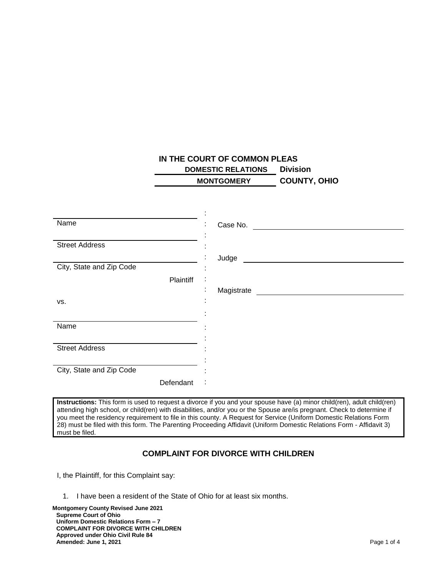## **IN THE COURT OF COMMON PLEAS DOMESTIC RELATIONS Division MONTGOMERY COUNTY, OHIO**

|                          | ٠<br>٠                       |
|--------------------------|------------------------------|
| Name                     | Case No.                     |
|                          |                              |
| <b>Street Address</b>    |                              |
|                          | Judge                        |
| City, State and Zip Code | $\overline{\phantom{a}}$     |
| Plaintiff                | ٠<br>$\cdot$                 |
|                          | Magistrate<br>$\blacksquare$ |
| VS.                      | ٠<br>$\blacksquare$          |
|                          | ٠                            |
| Name                     |                              |
|                          |                              |
|                          |                              |
| <b>Street Address</b>    |                              |
|                          |                              |
| City, State and Zip Code |                              |
| Defendant                | :                            |

**Instructions:** This form is used to request a divorce if you and your spouse have (a) minor child(ren), adult child(ren) attending high school, or child(ren) with disabilities, and/or you or the Spouse are/is pregnant. Check to determine if you meet the residency requirement to file in this county. A Request for Service (Uniform Domestic Relations Form 28) must be filed with this form. The Parenting Proceeding Affidavit (Uniform Domestic Relations Form - Affidavit 3) must be filed.

## **COMPLAINT FOR DIVORCE WITH CHILDREN**

I, the Plaintiff, for this Complaint say:

1. I have been a resident of the State of Ohio for at least six months.

**Montgomery County Revised June 2021 Supreme Court of Ohio Uniform Domestic Relations Form – 7 COMPLAINT FOR DIVORCE WITH CHILDREN Approved under Ohio Civil Rule 84 Amended: June 1, 2021 Page 1 of 4**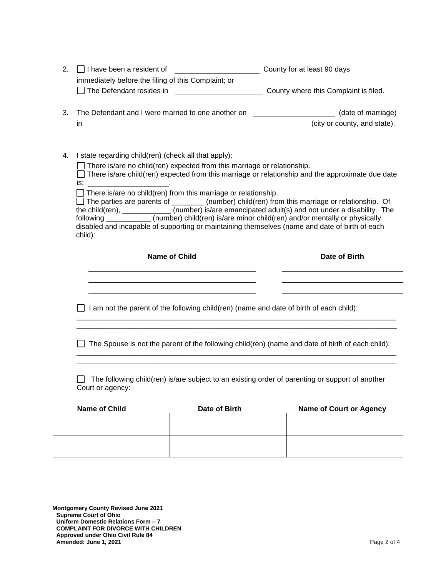|    | $\Box$ I have been a resident of                                                                                                                                                                                    |                                                             | County for at least 90 days                                                                                                                                                                                                                                                                                                                                                                                                                                                                                                |  |
|----|---------------------------------------------------------------------------------------------------------------------------------------------------------------------------------------------------------------------|-------------------------------------------------------------|----------------------------------------------------------------------------------------------------------------------------------------------------------------------------------------------------------------------------------------------------------------------------------------------------------------------------------------------------------------------------------------------------------------------------------------------------------------------------------------------------------------------------|--|
|    | immediately before the filing of this Complaint; or<br>$\Box$ The Defendant resides in                                                                                                                              |                                                             | County where this Complaint is filed.                                                                                                                                                                                                                                                                                                                                                                                                                                                                                      |  |
| 3. | in                                                                                                                                                                                                                  | <u> 1989 - Johann Barn, mars eta biztanleria (h. 1989).</u> | The Defendant and I were married to one another on ______________________(date of marriage)<br>(city or county, and state).                                                                                                                                                                                                                                                                                                                                                                                                |  |
| 4. | I state regarding child(ren) (check all that apply):<br>$\Box$ There is/are no child(ren) expected from this marriage or relationship.<br>There is/are no child(ren) from this marriage or relationship.<br>child): |                                                             | $\Box$ There is/are child(ren) expected from this marriage or relationship and the approximate due date<br>$\Box$ The parties are parents of ________ (number) child(ren) from this marriage or relationship. Of<br>the child(ren), ____________ (number) is/are emancipated adult(s) and not under a disability. The<br>following ___________ (number) child(ren) is/are minor child(ren) and/or mentally or physically<br>disabled and incapable of supporting or maintaining themselves (name and date of birth of each |  |
|    |                                                                                                                                                                                                                     | <b>Name of Child</b>                                        | Date of Birth                                                                                                                                                                                                                                                                                                                                                                                                                                                                                                              |  |
|    |                                                                                                                                                                                                                     |                                                             | I am not the parent of the following child(ren) (name and date of birth of each child):                                                                                                                                                                                                                                                                                                                                                                                                                                    |  |
|    | The Spouse is not the parent of the following child(ren) (name and date of birth of each child):                                                                                                                    |                                                             |                                                                                                                                                                                                                                                                                                                                                                                                                                                                                                                            |  |
|    |                                                                                                                                                                                                                     |                                                             |                                                                                                                                                                                                                                                                                                                                                                                                                                                                                                                            |  |
|    | Court or agency:                                                                                                                                                                                                    |                                                             | The following child(ren) is/are subject to an existing order of parenting or support of another                                                                                                                                                                                                                                                                                                                                                                                                                            |  |

**Montgomery County Revised June 2021 Supreme Court of Ohio Uniform Domestic Relations Form – 7 COMPLAINT FOR DIVORCE WITH CHILDREN Approved under Ohio Civil Rule 84 Amended: June 1, 2021** Page 2 of 4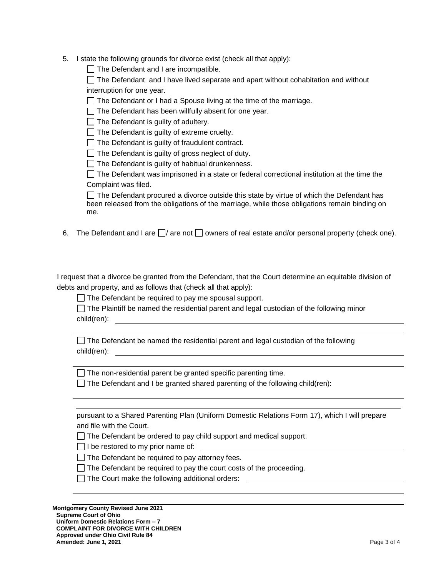5. I state the following grounds for divorce exist (check all that apply):

 $\Box$  The Defendant and I are incompatible.

 $\Box$  The Defendant and I have lived separate and apart without cohabitation and without interruption for one year.

 $\Box$  The Defendant or I had a Spouse living at the time of the marriage.

 $\Box$  The Defendant has been willfully absent for one year.

 $\Box$  The Defendant is guilty of adultery.

 $\Box$  The Defendant is guilty of extreme cruelty.

 $\Box$  The Defendant is guilty of fraudulent contract.

 $\Box$  The Defendant is guilty of gross neglect of duty.

 $\Box$  The Defendant is guilty of habitual drunkenness.

 $\Box$  The Defendant was imprisoned in a state or federal correctional institution at the time the Complaint was filed.

 $\Box$  The Defendant procured a divorce outside this state by virtue of which the Defendant has been released from the obligations of the marriage, while those obligations remain binding on me.

6. The Defendant and I are  $\Box/$  are not  $\Box$  owners of real estate and/or personal property (check one).

I request that a divorce be granted from the Defendant, that the Court determine an equitable division of debts and property, and as follows that (check all that apply):

 $\Box$  The Defendant be required to pay me spousal support.

 $\Box$  The Plaintiff be named the residential parent and legal custodian of the following minor child(ren):

 $\Box$  The Defendant be named the residential parent and legal custodian of the following child(ren):

 $\Box$  The non-residential parent be granted specific parenting time.

The Defendant and I be granted shared parenting of the following child(ren):

pursuant to a Shared Parenting Plan (Uniform Domestic Relations Form 17), which I will prepare and file with the Court.

 $\Box$  The Defendant be ordered to pay child support and medical support.

 $\Box$  I be restored to my prior name of:

 $\Box$  The Defendant be required to pay attorney fees.

 $\Box$  The Defendant be required to pay the court costs of the proceeding.

 $\Box$  The Court make the following additional orders: